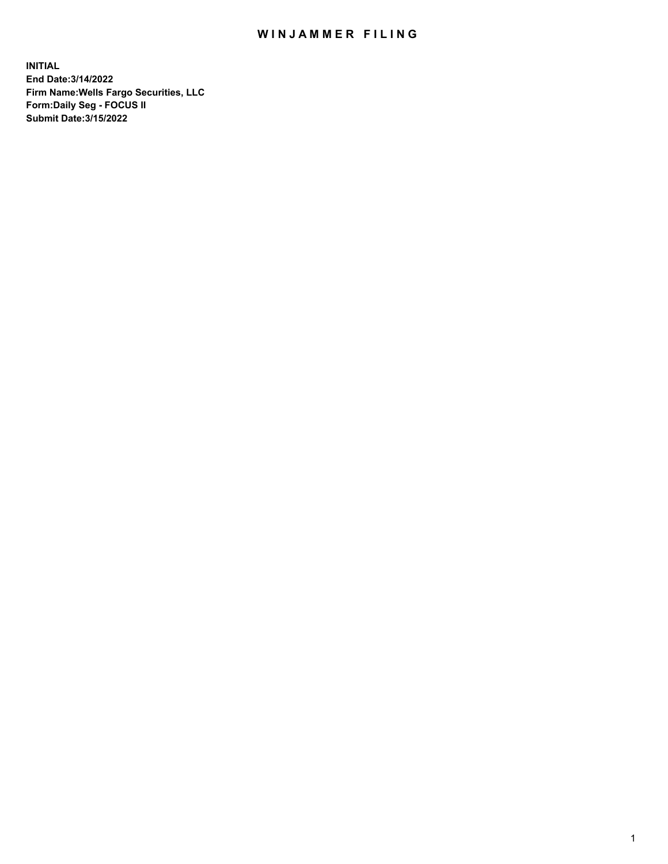## WIN JAMMER FILING

**INITIAL End Date:3/14/2022 Firm Name:Wells Fargo Securities, LLC Form:Daily Seg - FOCUS II Submit Date:3/15/2022**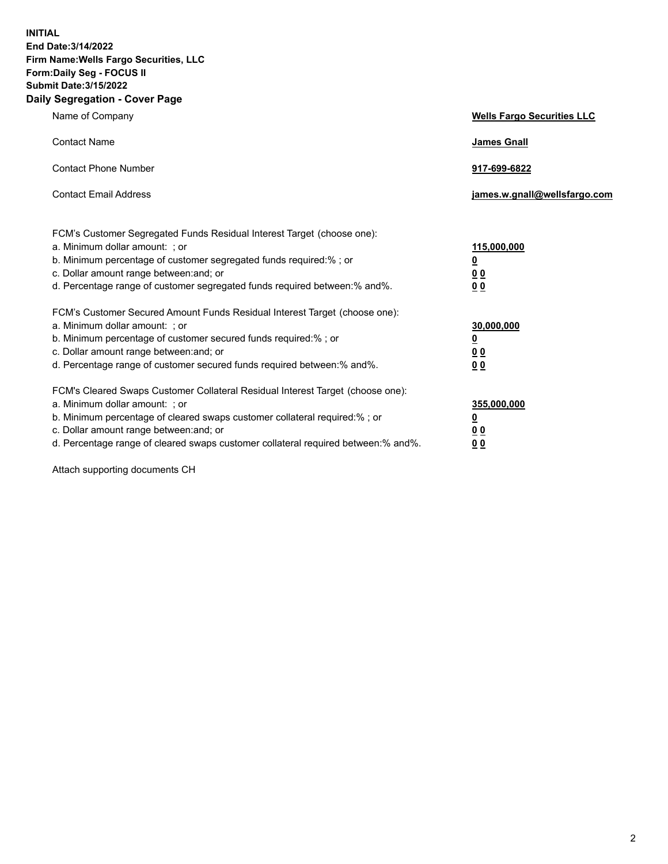**INITIAL End Date:3/14/2022 Firm Name:Wells Fargo Securities, LLC Form:Daily Seg - FOCUS II Submit Date:3/15/2022 Daily Segregation - Cover Page**

| Name of Company                                                                                                                                                                                                                                                                                                                | <b>Wells Fargo Securities LLC</b>                          |
|--------------------------------------------------------------------------------------------------------------------------------------------------------------------------------------------------------------------------------------------------------------------------------------------------------------------------------|------------------------------------------------------------|
| <b>Contact Name</b>                                                                                                                                                                                                                                                                                                            | <b>James Gnall</b>                                         |
| <b>Contact Phone Number</b>                                                                                                                                                                                                                                                                                                    | 917-699-6822                                               |
| <b>Contact Email Address</b>                                                                                                                                                                                                                                                                                                   | james.w.gnall@wellsfargo.com                               |
| FCM's Customer Segregated Funds Residual Interest Target (choose one):<br>a. Minimum dollar amount: ; or<br>b. Minimum percentage of customer segregated funds required:% ; or<br>c. Dollar amount range between: and; or<br>d. Percentage range of customer segregated funds required between:% and%.                         | 115,000,000<br><u>0</u><br>0 <sub>0</sub><br>00            |
| FCM's Customer Secured Amount Funds Residual Interest Target (choose one):<br>a. Minimum dollar amount: ; or<br>b. Minimum percentage of customer secured funds required:%; or<br>c. Dollar amount range between: and; or<br>d. Percentage range of customer secured funds required between:% and%.                            | 30,000,000<br><u>0</u><br>0 <sub>0</sub><br>0 <sub>0</sub> |
| FCM's Cleared Swaps Customer Collateral Residual Interest Target (choose one):<br>a. Minimum dollar amount: ; or<br>b. Minimum percentage of cleared swaps customer collateral required:% ; or<br>c. Dollar amount range between: and; or<br>d. Percentage range of cleared swaps customer collateral required between:% and%. | 355,000,000<br><u>0</u><br>00<br>00                        |

Attach supporting documents CH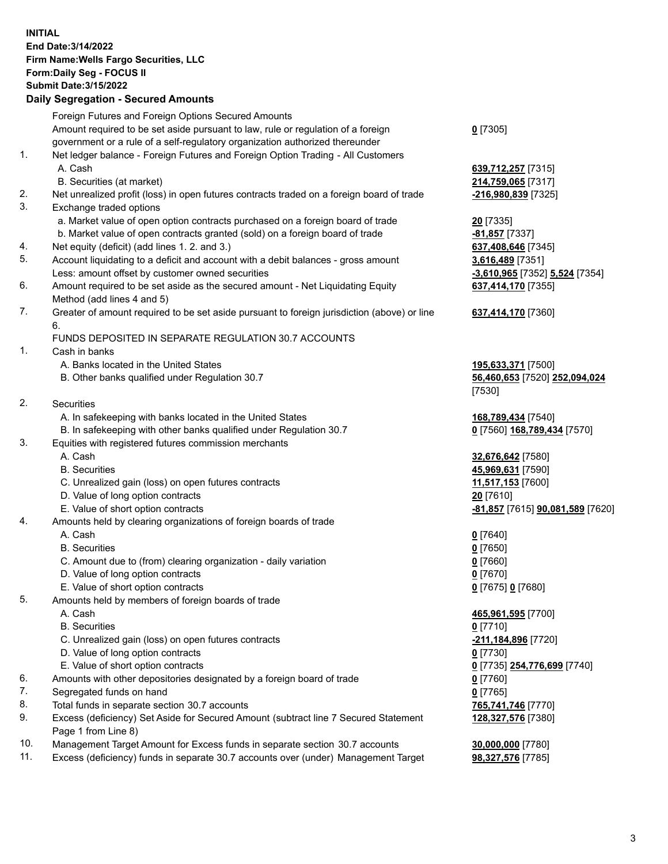**INITIAL End Date:3/14/2022 Firm Name:Wells Fargo Securities, LLC Form:Daily Seg - FOCUS II Submit Date:3/15/2022**

## **Daily Segregation - Secured Amounts**

|    | Foreign Futures and Foreign Options Secured Amounts                                         |                                  |
|----|---------------------------------------------------------------------------------------------|----------------------------------|
|    | Amount required to be set aside pursuant to law, rule or regulation of a foreign            | $0$ [7305]                       |
|    | government or a rule of a self-regulatory organization authorized thereunder                |                                  |
| 1. | Net ledger balance - Foreign Futures and Foreign Option Trading - All Customers             |                                  |
|    | A. Cash                                                                                     | 639,712,257 [7315]               |
|    | B. Securities (at market)                                                                   | 214,759,065 [7317]               |
| 2. | Net unrealized profit (loss) in open futures contracts traded on a foreign board of trade   | -216,980,839 [7325]              |
| 3. | Exchange traded options                                                                     |                                  |
|    | a. Market value of open option contracts purchased on a foreign board of trade              | <b>20</b> [7335]                 |
|    | b. Market value of open contracts granted (sold) on a foreign board of trade                | -81,857 [7337]                   |
| 4. | Net equity (deficit) (add lines 1. 2. and 3.)                                               | 637,408,646 [7345]               |
| 5. | Account liquidating to a deficit and account with a debit balances - gross amount           | 3,616,489 [7351]                 |
|    | Less: amount offset by customer owned securities                                            | -3,610,965 [7352] 5,524 [7354]   |
| 6. | Amount required to be set aside as the secured amount - Net Liquidating Equity              | 637,414,170 [7355]               |
|    | Method (add lines 4 and 5)                                                                  |                                  |
| 7. | Greater of amount required to be set aside pursuant to foreign jurisdiction (above) or line | 637,414,170 [7360]               |
|    | 6.                                                                                          |                                  |
|    | FUNDS DEPOSITED IN SEPARATE REGULATION 30.7 ACCOUNTS                                        |                                  |
| 1. | Cash in banks                                                                               |                                  |
|    | A. Banks located in the United States                                                       | 195,633,371 [7500]               |
|    | B. Other banks qualified under Regulation 30.7                                              | 56,460,653 [7520] 252,094,024    |
|    |                                                                                             | [7530]                           |
| 2. | Securities                                                                                  |                                  |
|    | A. In safekeeping with banks located in the United States                                   | 168,789,434 [7540]               |
|    | B. In safekeeping with other banks qualified under Regulation 30.7                          | 0 [7560] 168,789,434 [7570]      |
| 3. | Equities with registered futures commission merchants                                       |                                  |
|    | A. Cash                                                                                     | 32,676,642 <sup>[7580]</sup>     |
|    | <b>B.</b> Securities                                                                        | 45,969,631 [7590]                |
|    | C. Unrealized gain (loss) on open futures contracts                                         | 11,517,153 [7600]                |
|    | D. Value of long option contracts                                                           | 20 [7610]                        |
|    | E. Value of short option contracts                                                          | -81,857 [7615] 90,081,589 [7620] |
| 4. | Amounts held by clearing organizations of foreign boards of trade                           |                                  |
|    | A. Cash                                                                                     | $0$ [7640]                       |
|    | <b>B.</b> Securities                                                                        | $0$ [7650]                       |
|    | C. Amount due to (from) clearing organization - daily variation                             | $0$ [7660]                       |
|    | D. Value of long option contracts                                                           | $0$ [7670]                       |
|    | E. Value of short option contracts                                                          | 0 [7675] 0 [7680]                |
| 5. | Amounts held by members of foreign boards of trade                                          |                                  |
|    | A. Cash                                                                                     | 465,961,595 [7700]               |
|    | <b>B.</b> Securities                                                                        | $0$ [7710]                       |
|    | C. Unrealized gain (loss) on open futures contracts                                         | -211,184,896 [7720]              |
|    | D. Value of long option contracts                                                           | $0$ [7730]                       |
|    | E. Value of short option contracts                                                          | 0 [7735] 254,776,699 [7740]      |
| 6. | Amounts with other depositories designated by a foreign board of trade                      | $0$ [7760]                       |
| 7. | Segregated funds on hand                                                                    | $0$ [7765]                       |
| 8. | Total funds in separate section 30.7 accounts                                               | 765,741,746 [7770]               |
| 9. | Excess (deficiency) Set Aside for Secured Amount (subtract line 7 Secured Statement         | 128,327,576 [7380]               |
|    | Page 1 from Line 8)                                                                         |                                  |

- 10. Management Target Amount for Excess funds in separate section 30.7 accounts **30,000,000** [7780]
- 11. Excess (deficiency) funds in separate 30.7 accounts over (under) Management Target **98,327,576** [7785]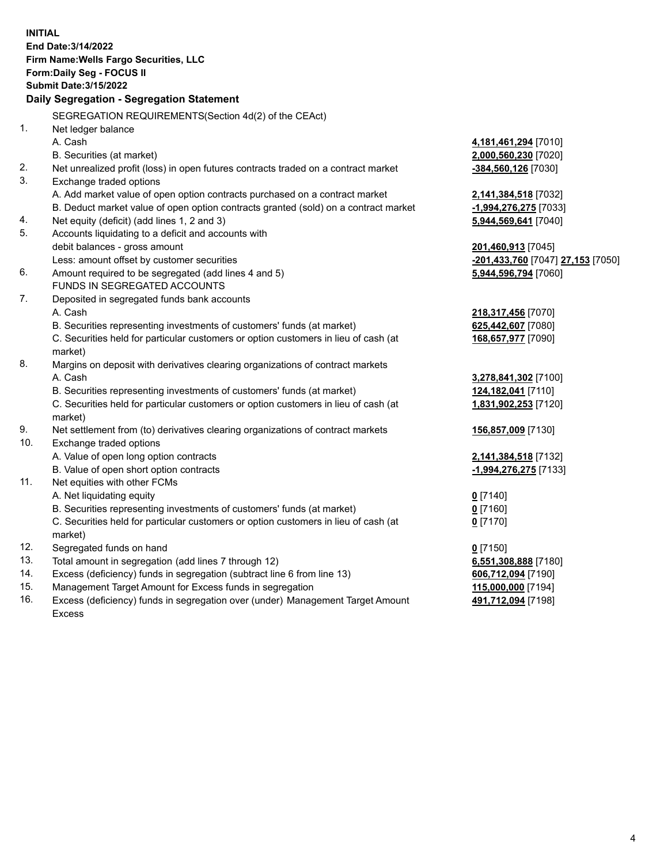**INITIAL End Date:3/14/2022 Firm Name:Wells Fargo Securities, LLC Form:Daily Seg - FOCUS II Submit Date:3/15/2022 Daily Segregation - Segregation Statement** SEGREGATION REQUIREMENTS(Section 4d(2) of the CEAct) 1. Net ledger balance A. Cash **4,181,461,294** [7010] B. Securities (at market) **2,000,560,230** [7020] 2. Net unrealized profit (loss) in open futures contracts traded on a contract market **-384,560,126** [7030] 3. Exchange traded options A. Add market value of open option contracts purchased on a contract market **2,141,384,518** [7032] B. Deduct market value of open option contracts granted (sold) on a contract market **-1,994,276,275** [7033] 4. Net equity (deficit) (add lines 1, 2 and 3) **5,944,569,641** [7040] 5. Accounts liquidating to a deficit and accounts with debit balances - gross amount **201,460,913** [7045] Less: amount offset by customer securities **-201,433,760** [7047] **27,153** [7050] 6. Amount required to be segregated (add lines 4 and 5) **5,944,596,794** [7060] FUNDS IN SEGREGATED ACCOUNTS 7. Deposited in segregated funds bank accounts A. Cash **218,317,456** [7070] B. Securities representing investments of customers' funds (at market) **625,442,607** [7080] C. Securities held for particular customers or option customers in lieu of cash (at market) **168,657,977** [7090] 8. Margins on deposit with derivatives clearing organizations of contract markets A. Cash **3,278,841,302** [7100] B. Securities representing investments of customers' funds (at market) **124,182,041** [7110] C. Securities held for particular customers or option customers in lieu of cash (at market) **1,831,902,253** [7120] 9. Net settlement from (to) derivatives clearing organizations of contract markets **156,857,009** [7130] 10. Exchange traded options A. Value of open long option contracts **2,141,384,518** [7132] B. Value of open short option contracts **-1,994,276,275** [7133] 11. Net equities with other FCMs A. Net liquidating equity **0** [7140] B. Securities representing investments of customers' funds (at market) **0** [7160] C. Securities held for particular customers or option customers in lieu of cash (at market) **0** [7170] 12. Segregated funds on hand **0** [7150] 13. Total amount in segregation (add lines 7 through 12) **6,551,308,888** [7180] 14. Excess (deficiency) funds in segregation (subtract line 6 from line 13) **606,712,094** [7190] 15. Management Target Amount for Excess funds in segregation **115,000,000** [7194] 16. Excess (deficiency) funds in segregation over (under) Management Target Amount **491,712,094** [7198]

Excess